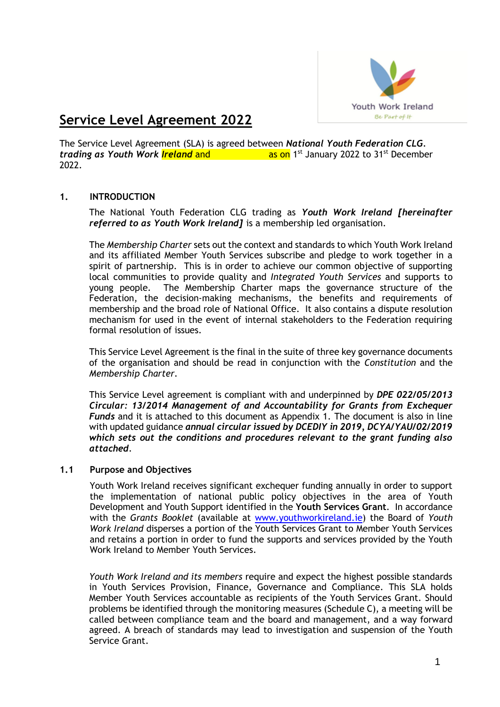

# **Service Level Agreement 2022**

The Service Level Agreement (SLA) is agreed between *National Youth Federation CLG.*  trading as Youth Work *Ireland* and **and and as on** 1<sup>st</sup> January 2022 to 31<sup>st</sup> December 2022.

#### **1. INTRODUCTION**

The National Youth Federation CLG trading as *Youth Work Ireland [hereinafter referred to as Youth Work Ireland]* is a membership led organisation.

The *Membership Charter* sets out the context and standards to which Youth Work Ireland and its affiliated Member Youth Services subscribe and pledge to work together in a spirit of partnership. This is in order to achieve our common objective of supporting local communities to provide quality and *Integrated Youth Services* and supports to young people. The Membership Charter maps the governance structure of the Federation, the decision-making mechanisms, the benefits and requirements of membership and the broad role of National Office. It also contains a dispute resolution mechanism for used in the event of internal stakeholders to the Federation requiring formal resolution of issues.

This Service Level Agreement is the final in the suite of three key governance documents of the organisation and should be read in conjunction with the *Constitution* and the *Membership Charter.*

This Service Level agreement is compliant with and underpinned by *DPE 022/05/2013 Circular: 13/2014 Management of and Accountability for Grants from Exchequer Funds* and it is attached to this document as Appendix 1. The document is also in line with updated guidance *annual circular issued by DCEDIY in 2019, DCYA/YAU/02/2019 which sets out the conditions and procedures relevant to the grant funding also attached*.

#### **1.1 Purpose and Objectives**

Youth Work Ireland receives significant exchequer funding annually in order to support the implementation of national public policy objectives in the area of Youth Development and Youth Support identified in the **Youth Services Grant**. In accordance with the *Grants Booklet* (available at [www.youthworkireland.ie\)](http://www.youthworkireland.ie/) the Board of *Youth Work Ireland* disperses a portion of the Youth Services Grant to Member Youth Services and retains a portion in order to fund the supports and services provided by the Youth Work Ireland to Member Youth Services.

*Youth Work Ireland and its members* require and expect the highest possible standards in Youth Services Provision, Finance, Governance and Compliance. This SLA holds Member Youth Services accountable as recipients of the Youth Services Grant. Should problems be identified through the monitoring measures (Schedule C), a meeting will be called between compliance team and the board and management, and a way forward agreed. A breach of standards may lead to investigation and suspension of the Youth Service Grant.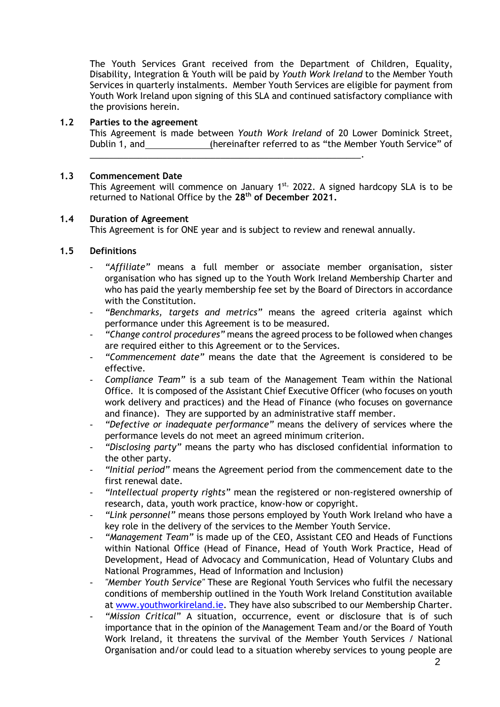The Youth Services Grant received from the Department of Children, Equality, Disability, Integration & Youth will be paid by *Youth Work Ireland* to the Member Youth Services in quarterly instalments. Member Youth Services are eligible for payment from Youth Work Ireland upon signing of this SLA and continued satisfactory compliance with the provisions herein.

#### **1.2 Parties to the agreement**

This Agreement is made between *Youth Work Ireland* of 20 Lower Dominick Street, Dublin 1, and (hereinafter referred to as "the Member Youth Service" of

#### **1.3 Commencement Date**

This Agreement will commence on January  $1^{st}$ , 2022. A signed hardcopy SLA is to be returned to National Office by the **28th of December 2021.**

#### **1.4 Duration of Agreement**

This Agreement is for ONE year and is subject to review and renewal annually.

\_\_\_\_\_\_\_\_\_\_\_\_\_\_\_\_\_\_\_\_\_\_\_\_\_\_\_\_\_\_\_\_\_\_\_\_\_\_\_\_\_\_\_\_\_\_\_\_\_\_\_\_\_\_\_\_.

#### **1.5 Definitions**

- *"Affiliate"* means a full member or associate member organisation, sister organisation who has signed up to the Youth Work Ireland Membership Charter and who has paid the yearly membership fee set by the Board of Directors in accordance with the Constitution.
- *"Benchmarks, targets and metrics"* means the agreed criteria against which performance under this Agreement is to be measured.
- *"Change control procedures"* means the agreed process to be followed when changes are required either to this Agreement or to the Services.
- *"Commencement date"* means the date that the Agreement is considered to be effective.
- *Compliance Team"* is a sub team of the Management Team within the National Office. It is composed of the Assistant Chief Executive Officer (who focuses on youth work delivery and practices) and the Head of Finance (who focuses on governance and finance). They are supported by an administrative staff member.
- *"Defective or inadequate performance"* means the delivery of services where the performance levels do not meet an agreed minimum criterion.
- *"Disclosing party"* means the party who has disclosed confidential information to the other party.
- *"Initial period"* means the Agreement period from the commencement date to the first renewal date.
- *"Intellectual property rights"* mean the registered or non-registered ownership of research, data, youth work practice, know-how or copyright.
- *"Link personnel"* means those persons employed by Youth Work Ireland who have a key role in the delivery of the services to the Member Youth Service.
- *"Management Team"* is made up of the CEO, Assistant CEO and Heads of Functions within National Office (Head of Finance, Head of Youth Work Practice, Head of Development, Head of Advocacy and Communication, Head of Voluntary Clubs and National Programmes, Head of Information and Inclusion)
- *"Member Youth Service"* These are Regional Youth Services who fulfil the necessary conditions of membership outlined in the Youth Work Ireland Constitution available at [www.youthworkireland.ie.](http://www.youthworkireland.ie/) They have also subscribed to our Membership Charter.
- *"Mission Critical*" A situation, occurrence, event or disclosure that is of such importance that in the opinion of the Management Team and/or the Board of Youth Work Ireland, it threatens the survival of the Member Youth Services / National Organisation and/or could lead to a situation whereby services to young people are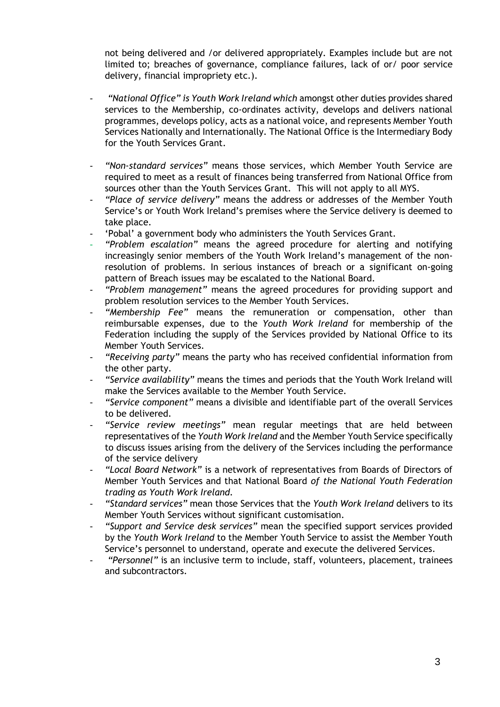not being delivered and /or delivered appropriately. Examples include but are not limited to; breaches of governance, compliance failures, lack of or/ poor service delivery, financial impropriety etc.).

- *"National Office" is Youth Work Ireland which* amongst other duties provides shared services to the Membership, co-ordinates activity, develops and delivers national programmes, develops policy, acts as a national voice, and represents Member Youth Services Nationally and Internationally. The National Office is the Intermediary Body for the Youth Services Grant.
- *"Non-standard services"* means those services, which Member Youth Service are required to meet as a result of finances being transferred from National Office from sources other than the Youth Services Grant. This will not apply to all MYS.
- *"Place of service delivery"* means the address or addresses of the Member Youth Service's or Youth Work Ireland's premises where the Service delivery is deemed to take place.
- 'Pobal' a government body who administers the Youth Services Grant.
- *"Problem escalation"* means the agreed procedure for alerting and notifying increasingly senior members of the Youth Work Ireland's management of the nonresolution of problems. In serious instances of breach or a significant on-going pattern of Breach issues may be escalated to the National Board.
- *"Problem management"* means the agreed procedures for providing support and problem resolution services to the Member Youth Services.
- *"Membership Fee"* means the remuneration or compensation, other than reimbursable expenses, due to the *Youth Work Ireland* for membership of the Federation including the supply of the Services provided by National Office to its Member Youth Services.
- *"Receiving party"* means the party who has received confidential information from the other party.
- *"Service availability"* means the times and periods that the Youth Work Ireland will make the Services available to the Member Youth Service.
- *"Service component"* means a divisible and identifiable part of the overall Services to be delivered.
- *"Service review meetings"* mean regular meetings that are held between representatives of the *Youth Work Ireland* and the Member Youth Service specifically to discuss issues arising from the delivery of the Services including the performance of the service delivery
- *"Local Board Network"* is a network of representatives from Boards of Directors of Member Youth Services and that National Board *of the National Youth Federation trading as Youth Work Ireland.*
- *"Standard services"* mean those Services that the *Youth Work Ireland* delivers to its Member Youth Services without significant customisation.
- *"Support and Service desk services"* mean the specified support services provided by the *Youth Work Ireland* to the Member Youth Service to assist the Member Youth Service's personnel to understand, operate and execute the delivered Services.
- *"Personnel"* is an inclusive term to include, staff, volunteers, placement, trainees and subcontractors.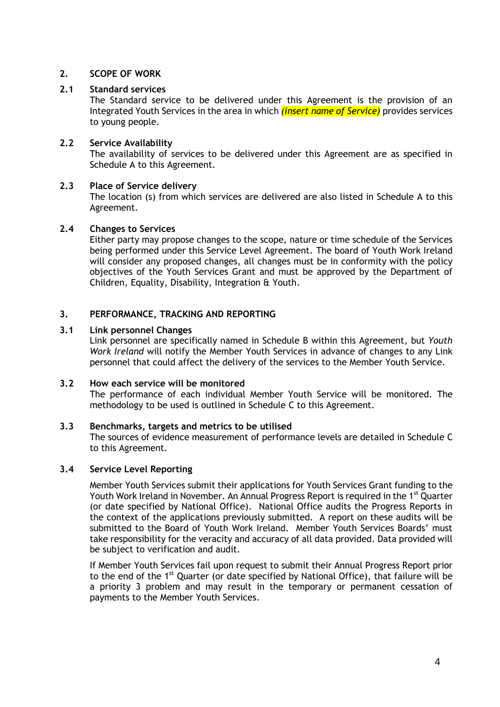### **2. SCOPE OF WORK**

# **2.1 Standard services**

The Standard service to be delivered under this Agreement is the provision of an Integrated Youth Services in the area in which *(insert name of Service)* provides services to young people.

# **2.2 Service Availability**

The availability of services to be delivered under this Agreement are as specified in Schedule A to this Agreement.

#### **2.3 Place of Service delivery**

The location (s) from which services are delivered are also listed in Schedule A to this Agreement.

#### **2.4 Changes to Services**

Either party may propose changes to the scope, nature or time schedule of the Services being performed under this Service Level Agreement. The board of Youth Work Ireland will consider any proposed changes, all changes must be in conformity with the policy objectives of the Youth Services Grant and must be approved by the Department of Children, Equality, Disability, Integration & Youth.

#### **3. PERFORMANCE, TRACKING AND REPORTING**

#### **3.1 Link personnel Changes**

Link personnel are specifically named in Schedule B within this Agreement, but *Youth Work Ireland* will notify the Member Youth Services in advance of changes to any Link personnel that could affect the delivery of the services to the Member Youth Service.

#### **3.2 How each service will be monitored**

The performance of each individual Member Youth Service will be monitored. The methodology to be used is outlined in Schedule C to this Agreement.

#### **3.3 Benchmarks, targets and metrics to be utilised**

The sources of evidence measurement of performance levels are detailed in Schedule C to this Agreement.

#### **3.4 Service Level Reporting**

Member Youth Services submit their applications for Youth Services Grant funding to the Youth Work Ireland in November. An Annual Progress Report is required in the 1<sup>st</sup> Quarter (or date specified by National Office). National Office audits the Progress Reports in the context of the applications previously submitted. A report on these audits will be submitted to the Board of Youth Work Ireland. Member Youth Services Boards' must take responsibility for the veracity and accuracy of all data provided. Data provided will be subject to verification and audit.

If Member Youth Services fail upon request to submit their Annual Progress Report prior to the end of the 1<sup>st</sup> Quarter (or date specified by National Office), that failure will be a priority 3 problem and may result in the temporary or permanent cessation of payments to the Member Youth Services.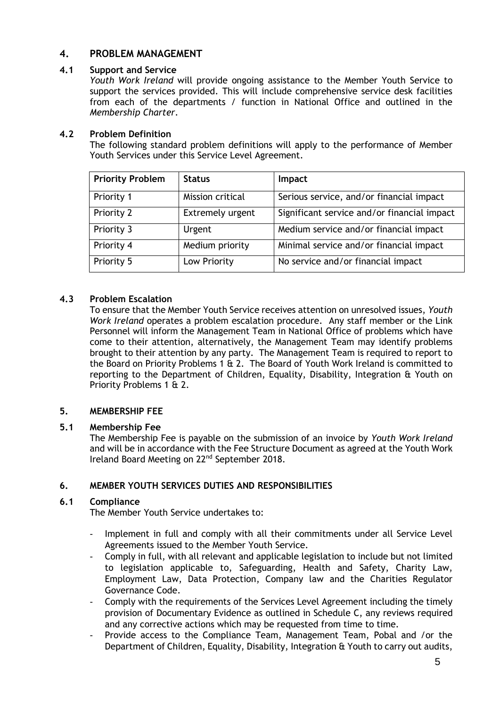# **4. PROBLEM MANAGEMENT**

### **4.1 Support and Service**

*Youth Work Ireland* will provide ongoing assistance to the Member Youth Service to support the services provided. This will include comprehensive service desk facilities from each of the departments / function in National Office and outlined in the *Membership Charter*.

#### **4.2 Problem Definition**

The following standard problem definitions will apply to the performance of Member Youth Services under this Service Level Agreement.

| <b>Priority Problem</b> | <b>Status</b>    | Impact                                      |  |
|-------------------------|------------------|---------------------------------------------|--|
| Priority 1              | Mission critical | Serious service, and/or financial impact    |  |
| Priority 2              | Extremely urgent | Significant service and/or financial impact |  |
| Priority 3              | Urgent           | Medium service and/or financial impact      |  |
| Priority 4              | Medium priority  | Minimal service and/or financial impact     |  |
| Priority 5              | Low Priority     | No service and/or financial impact          |  |

# **4.3 Problem Escalation**

To ensure that the Member Youth Service receives attention on unresolved issues, *Youth Work Ireland* operates a problem escalation procedure. Any staff member or the Link Personnel will inform the Management Team in National Office of problems which have come to their attention, alternatively, the Management Team may identify problems brought to their attention by any party. The Management Team is required to report to the Board on Priority Problems 1 & 2. The Board of Youth Work Ireland is committed to reporting to the Department of Children, Equality, Disability, Integration & Youth on Priority Problems 1 & 2.

## **5. MEMBERSHIP FEE**

## **5.1 Membership Fee**

The Membership Fee is payable on the submission of an invoice by *Youth Work Ireland* and will be in accordance with the Fee Structure Document as agreed at the Youth Work Ireland Board Meeting on 22<sup>nd</sup> September 2018.

## **6. MEMBER YOUTH SERVICES DUTIES AND RESPONSIBILITIES**

#### **6.1 Compliance**

The Member Youth Service undertakes to:

- Implement in full and comply with all their commitments under all Service Level Agreements issued to the Member Youth Service.
- Comply in full, with all relevant and applicable legislation to include but not limited to legislation applicable to, Safeguarding, Health and Safety, Charity Law, Employment Law, Data Protection, Company law and the Charities Regulator Governance Code.
- Comply with the requirements of the Services Level Agreement including the timely provision of Documentary Evidence as outlined in Schedule C, any reviews required and any corrective actions which may be requested from time to time.
- Provide access to the Compliance Team, Management Team, Pobal and /or the Department of Children, Equality, Disability, Integration & Youth to carry out audits,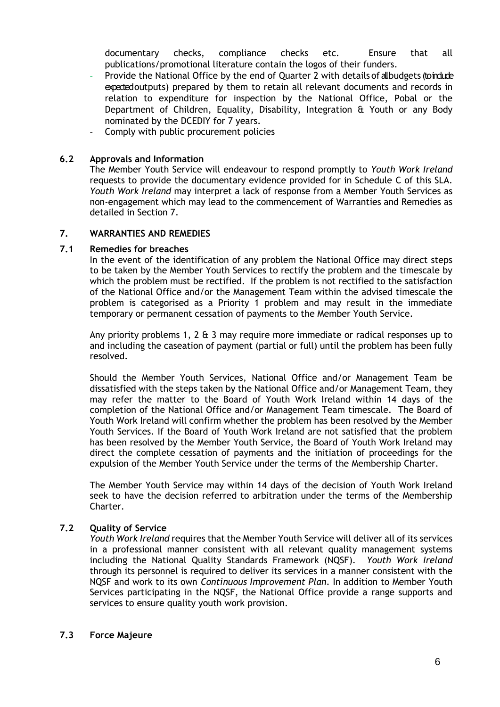documentary checks, compliance checks etc. Ensure that all publications/promotional literature contain the logos of their funders.

- Provide the National Office by the end of Quarter 2 with details of all budgets (to indude expectedoutputs) prepared by them to retain all relevant documents and records in relation to expenditure for inspection by the National Office, Pobal or the Department of Children, Equality, Disability, Integration & Youth or any Body nominated by the DCEDIY for 7 years.
- Comply with public procurement policies

#### **6.2 Approvals and Information**

The Member Youth Service will endeavour to respond promptly to *Youth Work Ireland*  requests to provide the documentary evidence provided for in Schedule C of this SLA. *Youth Work Ireland* may interpret a lack of response from a Member Youth Services as non-engagement which may lead to the commencement of Warranties and Remedies as detailed in Section 7.

#### **7. WARRANTIES AND REMEDIES**

#### **7.1 Remedies for breaches**

In the event of the identification of any problem the National Office may direct steps to be taken by the Member Youth Services to rectify the problem and the timescale by which the problem must be rectified. If the problem is not rectified to the satisfaction of the National Office and/or the Management Team within the advised timescale the problem is categorised as a Priority 1 problem and may result in the immediate temporary or permanent cessation of payments to the Member Youth Service.

Any priority problems 1, 2  $\&$  3 may require more immediate or radical responses up to and including the caseation of payment (partial or full) until the problem has been fully resolved.

Should the Member Youth Services, National Office and/or Management Team be dissatisfied with the steps taken by the National Office and/or Management Team, they may refer the matter to the Board of Youth Work Ireland within 14 days of the completion of the National Office and/or Management Team timescale. The Board of Youth Work Ireland will confirm whether the problem has been resolved by the Member Youth Services. If the Board of Youth Work Ireland are not satisfied that the problem has been resolved by the Member Youth Service, the Board of Youth Work Ireland may direct the complete cessation of payments and the initiation of proceedings for the expulsion of the Member Youth Service under the terms of the Membership Charter.

The Member Youth Service may within 14 days of the decision of Youth Work Ireland seek to have the decision referred to arbitration under the terms of the Membership Charter.

## **7.2 Quality of Service**

*Youth Work Ireland* requires that the Member Youth Service will deliver all of its services in a professional manner consistent with all relevant quality management systems including the National Quality Standards Framework (NQSF). *Youth Work Ireland*  through its personnel is required to deliver its services in a manner consistent with the NQSF and work to its own *Continuous Improvement Plan*. In addition to Member Youth Services participating in the NQSF, the National Office provide a range supports and services to ensure quality youth work provision.

#### **7.3 Force Majeure**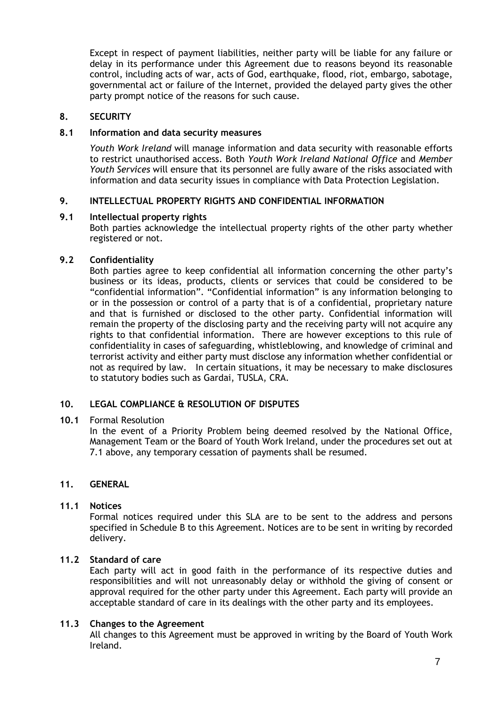Except in respect of payment liabilities, neither party will be liable for any failure or delay in its performance under this Agreement due to reasons beyond its reasonable control, including acts of war, acts of God, earthquake, flood, riot, embargo, sabotage, governmental act or failure of the Internet, provided the delayed party gives the other party prompt notice of the reasons for such cause.

#### **8. SECURITY**

#### **8.1 Information and data security measures**

*Youth Work Ireland* will manage information and data security with reasonable efforts to restrict unauthorised access. Both *Youth Work Ireland National Office* and *Member Youth Services* will ensure that its personnel are fully aware of the risks associated with information and data security issues in compliance with Data Protection Legislation.

#### **9. INTELLECTUAL PROPERTY RIGHTS AND CONFIDENTIAL INFORMATION**

#### **9.1 Intellectual property rights**

Both parties acknowledge the intellectual property rights of the other party whether registered or not.

#### **9.2 Confidentiality**

Both parties agree to keep confidential all information concerning the other party's business or its ideas, products, clients or services that could be considered to be "confidential information". "Confidential information" is any information belonging to or in the possession or control of a party that is of a confidential, proprietary nature and that is furnished or disclosed to the other party. Confidential information will remain the property of the disclosing party and the receiving party will not acquire any rights to that confidential information. There are however exceptions to this rule of confidentiality in cases of safeguarding, whistleblowing, and knowledge of criminal and terrorist activity and either party must disclose any information whether confidential or not as required by law. In certain situations, it may be necessary to make disclosures to statutory bodies such as Gardai, TUSLA, CRA.

#### **10. LEGAL COMPLIANCE & RESOLUTION OF DISPUTES**

#### **10.1** Formal Resolution

In the event of a Priority Problem being deemed resolved by the National Office, Management Team or the Board of Youth Work Ireland, under the procedures set out at 7.1 above, any temporary cessation of payments shall be resumed.

#### **11. GENERAL**

#### **11.1 Notices**

Formal notices required under this SLA are to be sent to the address and persons specified in Schedule B to this Agreement. Notices are to be sent in writing by recorded delivery.

#### **11.2 Standard of care**

Each party will act in good faith in the performance of its respective duties and responsibilities and will not unreasonably delay or withhold the giving of consent or approval required for the other party under this Agreement. Each party will provide an acceptable standard of care in its dealings with the other party and its employees.

#### **11.3 Changes to the Agreement**

All changes to this Agreement must be approved in writing by the Board of Youth Work Ireland.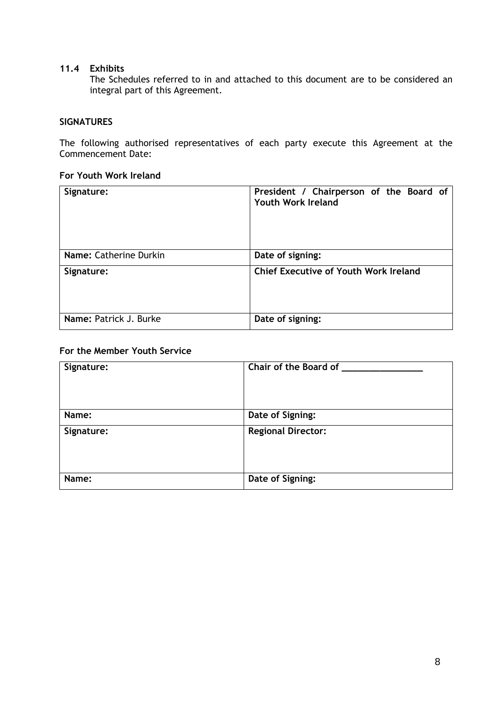### **11.4 Exhibits**

The Schedules referred to in and attached to this document are to be considered an integral part of this Agreement.

#### **SIGNATURES**

The following authorised representatives of each party execute this Agreement at the Commencement Date:

#### **For Youth Work Ireland**

| Signature:             | President / Chairperson of the Board of<br><b>Youth Work Ireland</b> |  |  |
|------------------------|----------------------------------------------------------------------|--|--|
| Name: Catherine Durkin | Date of signing:                                                     |  |  |
| Signature:             | <b>Chief Executive of Youth Work Ireland</b>                         |  |  |
| Name: Patrick J. Burke | Date of signing:                                                     |  |  |

### **For the Member Youth Service**

| Signature: | Chair of the Board of     |
|------------|---------------------------|
| Name:      | Date of Signing:          |
| Signature: | <b>Regional Director:</b> |
| Name:      | Date of Signing:          |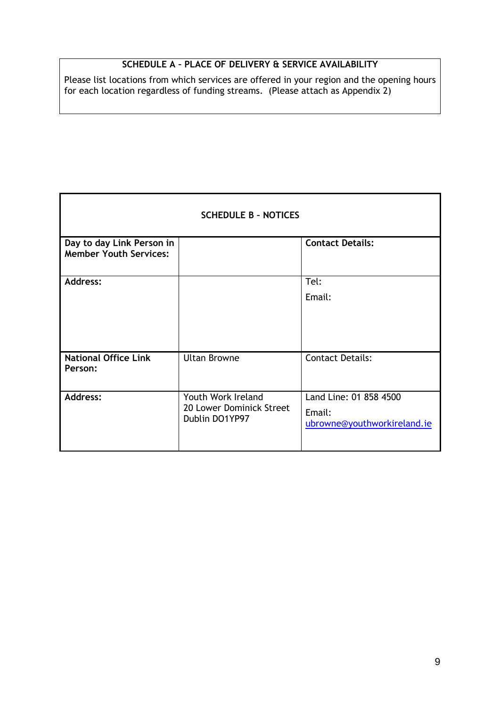# **SCHEDULE A – PLACE OF DELIVERY & SERVICE AVAILABILITY**

Please list locations from which services are offered in your region and the opening hours for each location regardless of funding streams. (Please attach as Appendix 2)

r

| <b>SCHEDULE B - NOTICES</b>                                |                                                                  |                                                                 |  |  |
|------------------------------------------------------------|------------------------------------------------------------------|-----------------------------------------------------------------|--|--|
| Day to day Link Person in<br><b>Member Youth Services:</b> |                                                                  | <b>Contact Details:</b>                                         |  |  |
| <b>Address:</b>                                            |                                                                  | Tel:                                                            |  |  |
|                                                            |                                                                  | Email:                                                          |  |  |
| <b>National Office Link</b><br>Person:                     | <b>Ultan Browne</b>                                              | <b>Contact Details:</b>                                         |  |  |
| <b>Address:</b>                                            | Youth Work Ireland<br>20 Lower Dominick Street<br>Dublin DO1YP97 | Land Line: 01 858 4500<br>Email:<br>ubrowne@youthworkireland.ie |  |  |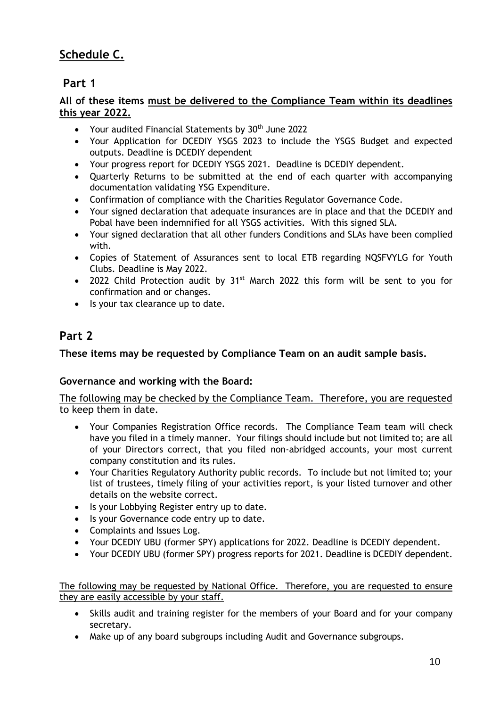# **Schedule C.**

# **Part 1**

# **All of these items must be delivered to the Compliance Team within its deadlines this year 2022.**

- Your audited Financial Statements by  $30<sup>th</sup>$  June 2022
- Your Application for DCEDIY YSGS 2023 to include the YSGS Budget and expected outputs. Deadline is DCEDIY dependent
- Your progress report for DCEDIY YSGS 2021. Deadline is DCEDIY dependent.
- Quarterly Returns to be submitted at the end of each quarter with accompanying documentation validating YSG Expenditure.
- Confirmation of compliance with the Charities Regulator Governance Code.
- Your signed declaration that adequate insurances are in place and that the DCEDIY and Pobal have been indemnified for all YSGS activities. With this signed SLA.
- Your signed declaration that all other funders Conditions and SLAs have been complied with.
- Copies of Statement of Assurances sent to local ETB regarding NQSFVYLG for Youth Clubs. Deadline is May 2022.
- 2022 Child Protection audit by 31<sup>st</sup> March 2022 this form will be sent to you for confirmation and or changes.
- Is your tax clearance up to date.

# **Part 2**

# **These items may be requested by Compliance Team on an audit sample basis.**

# **Governance and working with the Board:**

The following may be checked by the Compliance Team. Therefore, you are requested to keep them in date.

- Your Companies Registration Office records. The Compliance Team team will check have you filed in a timely manner. Your filings should include but not limited to; are all of your Directors correct, that you filed non-abridged accounts, your most current company constitution and its rules.
- Your Charities Regulatory Authority public records. To include but not limited to; your list of trustees, timely filing of your activities report, is your listed turnover and other details on the website correct.
- Is your Lobbying Register entry up to date.
- Is your Governance code entry up to date.
- Complaints and Issues Log.
- Your DCEDIY UBU (former SPY) applications for 2022. Deadline is DCEDIY dependent.
- Your DCEDIY UBU (former SPY) progress reports for 2021. Deadline is DCEDIY dependent.

The following may be requested by National Office. Therefore, you are requested to ensure they are easily accessible by your staff.

- Skills audit and training register for the members of your Board and for your company secretary.
- Make up of any board subgroups including Audit and Governance subgroups.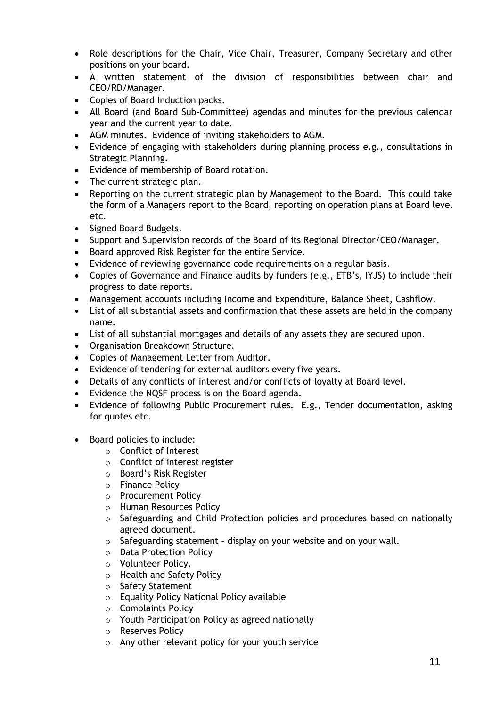- Role descriptions for the Chair, Vice Chair, Treasurer, Company Secretary and other positions on your board.
- A written statement of the division of responsibilities between chair and CEO/RD/Manager.
- Copies of Board Induction packs.
- All Board (and Board Sub-Committee) agendas and minutes for the previous calendar year and the current year to date.
- AGM minutes. Evidence of inviting stakeholders to AGM.
- Evidence of engaging with stakeholders during planning process e.g., consultations in Strategic Planning.
- Evidence of membership of Board rotation.
- The current strategic plan.
- Reporting on the current strategic plan by Management to the Board. This could take the form of a Managers report to the Board, reporting on operation plans at Board level etc.
- Signed Board Budgets.
- Support and Supervision records of the Board of its Regional Director/CEO/Manager.
- Board approved Risk Register for the entire Service.
- Evidence of reviewing governance code requirements on a regular basis.
- Copies of Governance and Finance audits by funders (e.g., ETB's, IYJS) to include their progress to date reports.
- Management accounts including Income and Expenditure, Balance Sheet, Cashflow.
- List of all substantial assets and confirmation that these assets are held in the company name.
- List of all substantial mortgages and details of any assets they are secured upon.
- Organisation Breakdown Structure.
- Copies of Management Letter from Auditor.
- Evidence of tendering for external auditors every five years.
- Details of any conflicts of interest and/or conflicts of loyalty at Board level.
- Evidence the NQSF process is on the Board agenda.
- Evidence of following Public Procurement rules. E.g., Tender documentation, asking for quotes etc.
- Board policies to include:
	- o Conflict of Interest
	- o Conflict of interest register
	- o Board's Risk Register
	- o Finance Policy
	- o Procurement Policy
	- o Human Resources Policy
	- o Safeguarding and Child Protection policies and procedures based on nationally agreed document.
	- o Safeguarding statement display on your website and on your wall.
	- o Data Protection Policy
	- o Volunteer Policy.
	- o Health and Safety Policy
	- o Safety Statement
	- o Equality Policy National Policy available
	- o Complaints Policy
	- o Youth Participation Policy as agreed nationally
	- o Reserves Policy
	- o Any other relevant policy for your youth service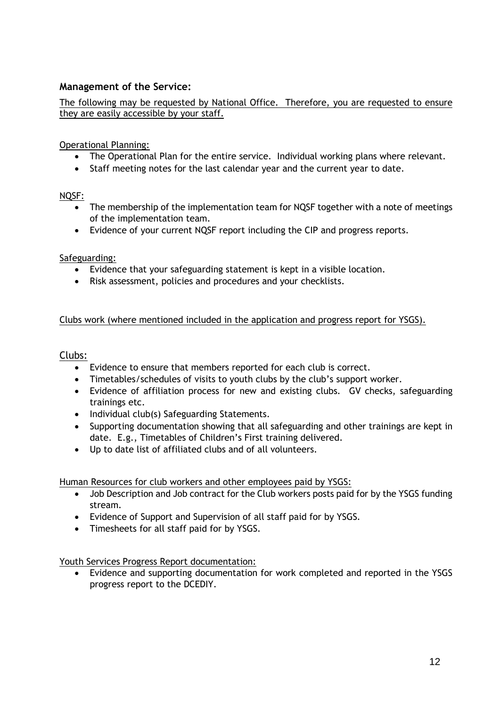# **Management of the Service:**

The following may be requested by National Office. Therefore, you are requested to ensure they are easily accessible by your staff.

Operational Planning:

- The Operational Plan for the entire service. Individual working plans where relevant.
- Staff meeting notes for the last calendar year and the current year to date.

## NQSF:

- The membership of the implementation team for NQSF together with a note of meetings of the implementation team.
- Evidence of your current NQSF report including the CIP and progress reports.

# Safeguarding:

- Evidence that your safeguarding statement is kept in a visible location.
- Risk assessment, policies and procedures and your checklists.

# Clubs work (where mentioned included in the application and progress report for YSGS).

# Clubs:

- Evidence to ensure that members reported for each club is correct.
- Timetables/schedules of visits to youth clubs by the club's support worker.
- Evidence of affiliation process for new and existing clubs. GV checks, safeguarding trainings etc.
- Individual club(s) Safeguarding Statements.
- Supporting documentation showing that all safeguarding and other trainings are kept in date. E.g., Timetables of Children's First training delivered.
- Up to date list of affiliated clubs and of all volunteers.

Human Resources for club workers and other employees paid by YSGS:

- Job Description and Job contract for the Club workers posts paid for by the YSGS funding stream.
- Evidence of Support and Supervision of all staff paid for by YSGS.
- Timesheets for all staff paid for by YSGS.

Youth Services Progress Report documentation:

• Evidence and supporting documentation for work completed and reported in the YSGS progress report to the DCEDIY.